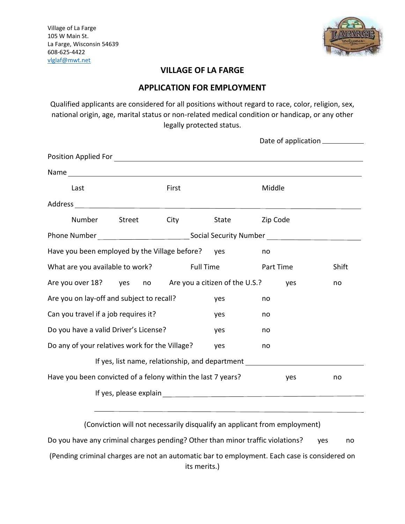

## **VILLAGE OF LA FARGE**

### **APPLICATION FOR EMPLOYMENT**

Qualified applicants are considered for all positions without regard to race, color, religion, sex, national origin, age, marital status or non-related medical condition or handicap, or any other legally protected status.

| Last                                                                                                 |        | First       |                    | Middle |  |  |  |
|------------------------------------------------------------------------------------------------------|--------|-------------|--------------------|--------|--|--|--|
|                                                                                                      |        |             |                    |        |  |  |  |
| Number                                                                                               | Street | <b>City</b> | State Zip Code     |        |  |  |  |
| Phone Number __________________________________Social Security Number ______________________________ |        |             |                    |        |  |  |  |
| Have you been employed by the Village before? yes<br>no                                              |        |             |                    |        |  |  |  |
| What are you available to work?                                                                      |        | Full Time   | Part Time<br>Shift |        |  |  |  |
| Are you over 18? yes no Are you a citizen of the U.S.?                                               |        |             | yes                | no     |  |  |  |
| Are you on lay-off and subject to recall?                                                            |        | yes         | no                 |        |  |  |  |
| Can you travel if a job requires it?                                                                 | yes    | no          |                    |        |  |  |  |
| Do you have a valid Driver's License?                                                                | no     |             |                    |        |  |  |  |
| Do any of your relatives work for the Village?                                                       | no     |             |                    |        |  |  |  |
| If yes, list name, relationship, and department ________________________________                     |        |             |                    |        |  |  |  |
| Have you been convicted of a felony within the last 7 years?<br>yes<br>no                            |        |             |                    |        |  |  |  |
|                                                                                                      |        |             |                    |        |  |  |  |
|                                                                                                      |        |             |                    |        |  |  |  |

(Conviction will not necessarily disqualify an applicant from employment) Do you have any criminal charges pending? Other than minor traffic violations? yes no (Pending criminal charges are not an automatic bar to employment. Each case is considered on its merits.)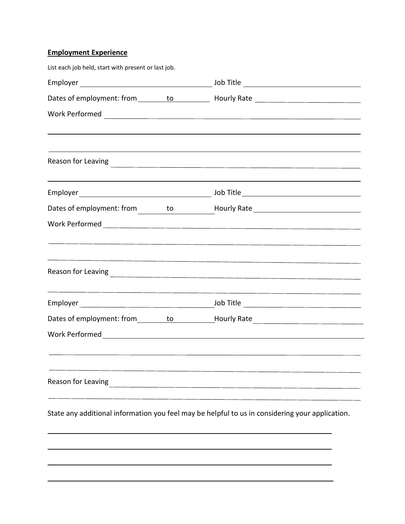# **Employment Experience**

| List each job held, start with present or last job. |                                                                                                                                                                                                                                                                                                                            |  |  |  |  |
|-----------------------------------------------------|----------------------------------------------------------------------------------------------------------------------------------------------------------------------------------------------------------------------------------------------------------------------------------------------------------------------------|--|--|--|--|
|                                                     |                                                                                                                                                                                                                                                                                                                            |  |  |  |  |
|                                                     |                                                                                                                                                                                                                                                                                                                            |  |  |  |  |
|                                                     |                                                                                                                                                                                                                                                                                                                            |  |  |  |  |
|                                                     | ,我们也不会有什么。""我们的人,我们也不会有什么?""我们的人,我们也不会有什么?""我们的人,我们也不会有什么?""我们的人,我们也不会有什么?""我们的人<br>Reason for Leaving<br><u> and the community of the community of the community of the community of the community of the community of the community of the community of the community of the community of the community of the commu</u> |  |  |  |  |
|                                                     |                                                                                                                                                                                                                                                                                                                            |  |  |  |  |
|                                                     |                                                                                                                                                                                                                                                                                                                            |  |  |  |  |
|                                                     | <u> 1989 - Andrea Andrew Maria (h. 1989).</u><br>1905 - Andrew Maria (h. 1906).                                                                                                                                                                                                                                            |  |  |  |  |
|                                                     | <u> 1989 - Andrea Santa Andrea Santa Andrea Santa Andrea Santa Andrea Santa Andrea Santa Andrea Santa Andrea San</u>                                                                                                                                                                                                       |  |  |  |  |
|                                                     | <u> 1989 - Andrea Andrew Maria (h. 1989).</u>                                                                                                                                                                                                                                                                              |  |  |  |  |
|                                                     | Dates of employment: from ________to __________Hourly Rate _____________________                                                                                                                                                                                                                                           |  |  |  |  |
|                                                     |                                                                                                                                                                                                                                                                                                                            |  |  |  |  |
| Reason for Leaving                                  | <u> 1980 - Jan Samuel Barbara, margaret e</u>                                                                                                                                                                                                                                                                              |  |  |  |  |
|                                                     | State any additional information you feel may be helpful to us in considering your application.                                                                                                                                                                                                                            |  |  |  |  |
|                                                     |                                                                                                                                                                                                                                                                                                                            |  |  |  |  |
|                                                     |                                                                                                                                                                                                                                                                                                                            |  |  |  |  |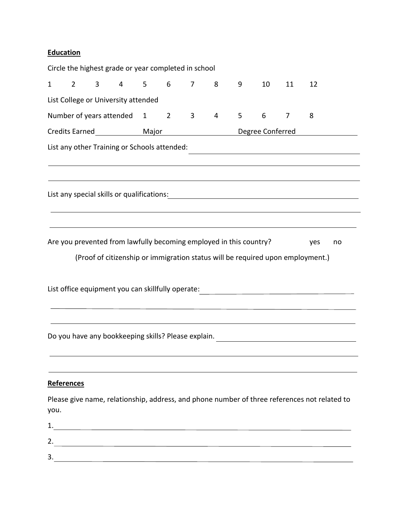# **Education**

|              |                   |                | Circle the highest grade or year completed in school               |       |   |                |   |                  |    |    |                                                                                                                      |    |
|--------------|-------------------|----------------|--------------------------------------------------------------------|-------|---|----------------|---|------------------|----|----|----------------------------------------------------------------------------------------------------------------------|----|
| $\mathbf{1}$ | $\overline{2}$    | $\overline{3}$ | $4 \quad$                                                          | $5 -$ | 6 | $\overline{7}$ | 8 | 9                | 10 | 11 | 12                                                                                                                   |    |
|              |                   |                | List College or University attended                                |       |   |                |   |                  |    |    |                                                                                                                      |    |
|              |                   |                | Number of years attended 1 2 3                                     |       |   |                | 4 | 5                | 6  | 7  | 8                                                                                                                    |    |
|              |                   |                |                                                                    |       |   |                |   | Degree Conferred |    |    |                                                                                                                      |    |
|              |                   |                | List any other Training or Schools attended:                       |       |   |                |   |                  |    |    | <u> 1989 - Johann Stein, marwolaethau a bhann an t-Amhair ann an t-Amhair an t-Amhair an t-Amhair an t-Amhair an</u> |    |
|              |                   |                |                                                                    |       |   |                |   |                  |    |    | ,我们也不会有什么。""我们的人,我们也不会有什么?""我们的人,我们也不会有什么?""我们的人,我们也不会有什么?""我们的人,我们也不会有什么?""我们的人                                     |    |
|              |                   |                |                                                                    |       |   |                |   |                  |    |    |                                                                                                                      |    |
|              |                   |                |                                                                    |       |   |                |   |                  |    |    |                                                                                                                      |    |
|              |                   |                |                                                                    |       |   |                |   |                  |    |    |                                                                                                                      |    |
|              |                   |                |                                                                    |       |   |                |   |                  |    |    |                                                                                                                      |    |
|              |                   |                | Are you prevented from lawfully becoming employed in this country? |       |   |                |   |                  |    |    | yes                                                                                                                  | no |
|              |                   |                |                                                                    |       |   |                |   |                  |    |    | (Proof of citizenship or immigration status will be required upon employment.)                                       |    |
|              |                   |                |                                                                    |       |   |                |   |                  |    |    |                                                                                                                      |    |
|              |                   |                | List office equipment you can skillfully operate:                  |       |   |                |   |                  |    |    |                                                                                                                      |    |
|              |                   |                |                                                                    |       |   |                |   |                  |    |    |                                                                                                                      |    |
|              |                   |                |                                                                    |       |   |                |   |                  |    |    |                                                                                                                      |    |
|              |                   |                |                                                                    |       |   |                |   |                  |    |    | Do you have any bookkeeping skills? Please explain. ____________________________                                     |    |
|              |                   |                |                                                                    |       |   |                |   |                  |    |    |                                                                                                                      |    |
|              |                   |                |                                                                    |       |   |                |   |                  |    |    |                                                                                                                      |    |
|              | <b>References</b> |                |                                                                    |       |   |                |   |                  |    |    |                                                                                                                      |    |
|              |                   |                |                                                                    |       |   |                |   |                  |    |    | Please give name, relationship, address, and phone number of three references not related to                         |    |
| you.         |                   |                |                                                                    |       |   |                |   |                  |    |    |                                                                                                                      |    |
| 2.           |                   |                |                                                                    |       |   |                |   |                  |    |    |                                                                                                                      |    |
| 3.           |                   |                | <u> 1989 - Johann Barn, fransk politik fotograf (d. 1989)</u>      |       |   |                |   |                  |    |    |                                                                                                                      |    |
|              |                   |                |                                                                    |       |   |                |   |                  |    |    |                                                                                                                      |    |